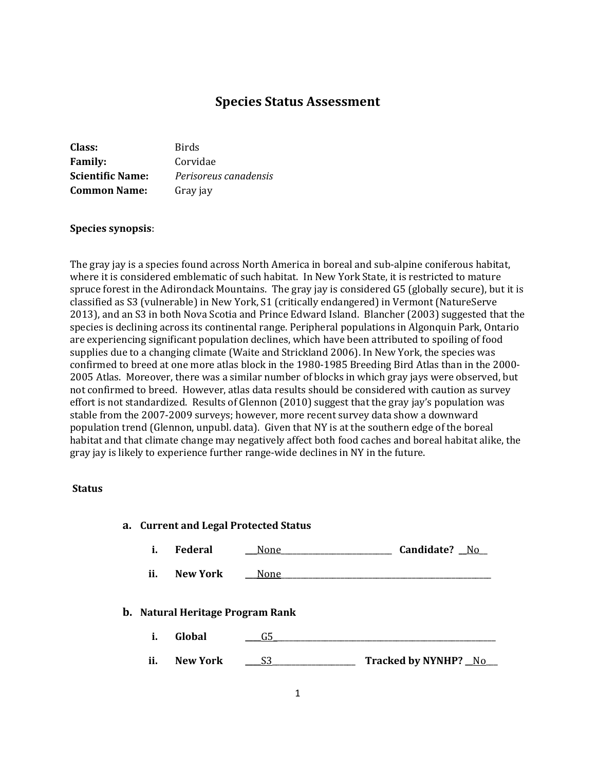# **Species Status Assessment**

| Class:                  | <b>Birds</b>          |
|-------------------------|-----------------------|
| <b>Family:</b>          | Corvidae              |
| <b>Scientific Name:</b> | Perisoreus canadensis |
| <b>Common Name:</b>     | Gray jay              |

#### **Species synopsis**:

The gray jay is a species found across North America in boreal and sub-alpine coniferous habitat, where it is considered emblematic of such habitat. In New York State, it is restricted to mature spruce forest in the Adirondack Mountains. The gray jay is considered G5 (globally secure), but it is classified as S3 (vulnerable) in New York, S1 (critically endangered) in Vermont (NatureServe 2013), and an S3 in both Nova Scotia and Prince Edward Island. Blancher (2003) suggested that the species is declining across its continental range. Peripheral populations in Algonquin Park, Ontario are experiencing significant population declines, which have been attributed to spoiling of food supplies due to a changing climate (Waite and Strickland 2006). In New York, the species was confirmed to breed at one more atlas block in the 1980-1985 Breeding Bird Atlas than in the 2000- 2005 Atlas. Moreover, there was a similar number of blocks in which gray jays were observed, but not confirmed to breed. However, atlas data results should be considered with caution as survey effort is not standardized. Results of Glennon (2010) suggest that the gray jay's population was stable from the 2007-2009 surveys; however, more recent survey data show a downward population trend (Glennon, unpubl. data). Given that NY is at the southern edge of the boreal habitat and that climate change may negatively affect both food caches and boreal habitat alike, the gray jay is likely to experience further range-wide declines in NY in the future.

#### **Status**

|     |                                         | a. Current and Legal Protected Status |                      |
|-----|-----------------------------------------|---------------------------------------|----------------------|
| i.  | <b>Federal</b>                          | None                                  | Candidate? No        |
| ii. | <b>New York</b>                         | None                                  |                      |
|     | <b>b.</b> Natural Heritage Program Rank |                                       |                      |
| i.  | Global                                  | G5                                    |                      |
| ii. | <b>New York</b>                         | S3                                    | Tracked by NYNHP? No |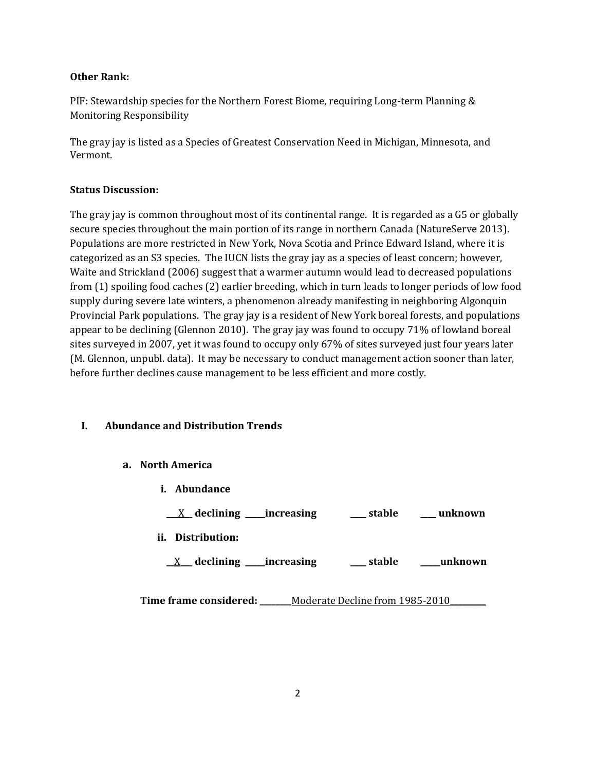#### **Other Rank:**

PIF: Stewardship species for the Northern Forest Biome, requiring Long-term Planning & Monitoring Responsibility

The gray jay is listed as a Species of Greatest Conservation Need in Michigan, Minnesota, and Vermont.

## **Status Discussion:**

The gray jay is common throughout most of its continental range. It is regarded as a G5 or globally secure species throughout the main portion of its range in northern Canada (NatureServe 2013). Populations are more restricted in New York, Nova Scotia and Prince Edward Island, where it is categorized as an S3 species. The IUCN lists the gray jay as a species of least concern; however, Waite and Strickland (2006) suggest that a warmer autumn would lead to decreased populations from (1) spoiling food caches (2) earlier breeding, which in turn leads to longer periods of low food supply during severe late winters, a phenomenon already manifesting in neighboring Algonquin Provincial Park populations. The gray jay is a resident of New York boreal forests, and populations appear to be declining (Glennon 2010). The gray jay was found to occupy 71% of lowland boreal sites surveyed in 2007, yet it was found to occupy only 67% of sites surveyed just four years later (M. Glennon, unpubl. data). It may be necessary to conduct management action sooner than later, before further declines cause management to be less efficient and more costly.

## **I. Abundance and Distribution Trends**

#### **a. North America**

- **i. Abundance**
	- **\_\_\_**X**\_\_ declining \_\_\_\_\_increasing \_\_\_\_ stable \_\_\_\_ unknown**
- **ii. Distribution:**
	- **\_\_**X**\_\_\_ declining \_\_\_\_\_increasing \_\_\_\_ stable \_\_\_\_\_unknown**

**Time frame considered:** Moderate Decline from 1985-2010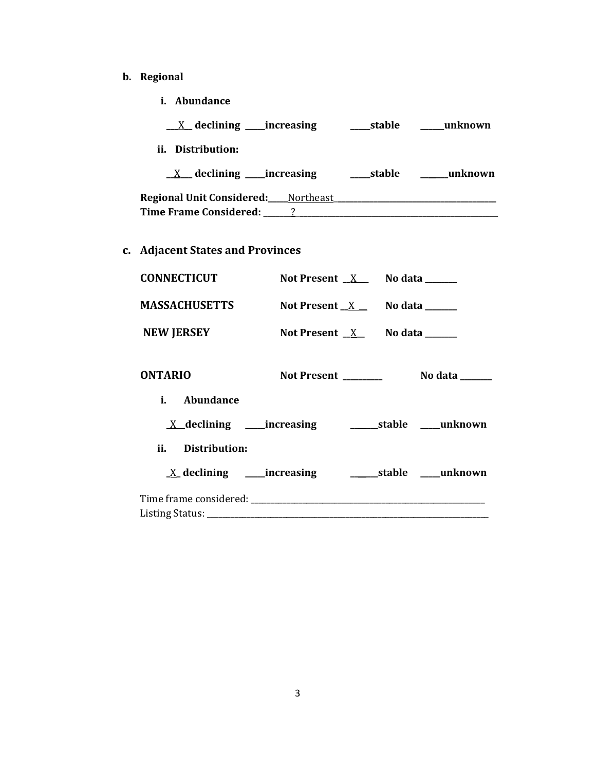- **b. Regional** 
	- **i. Abundance**

| $X$ declining _____increasing                                                  | stable | unknown |
|--------------------------------------------------------------------------------|--------|---------|
|                                                                                |        |         |
| $X$ declining _____increasing                                                  | stable | unknown |
| <b>Regional Unit Considered:</b> Northeast<br>Time Frame Considered: 1986 1997 |        |         |
|                                                                                |        |         |

# **c. Adjacent States and Provinces**

| <b>CONNECTICUT</b> | Not Present $X$ No data ______ |  |
|--------------------|--------------------------------|--|
| MASSACHUSETTS      | Not Present $X$ No data ______ |  |
| <b>NEW JERSEY</b>  | Not Present $X$ No data _____  |  |
| <b>ONTARIO</b>     |                                |  |
| i. Abundance       |                                |  |
|                    |                                |  |
| ii. Distribution:  |                                |  |
|                    |                                |  |
|                    |                                |  |
|                    |                                |  |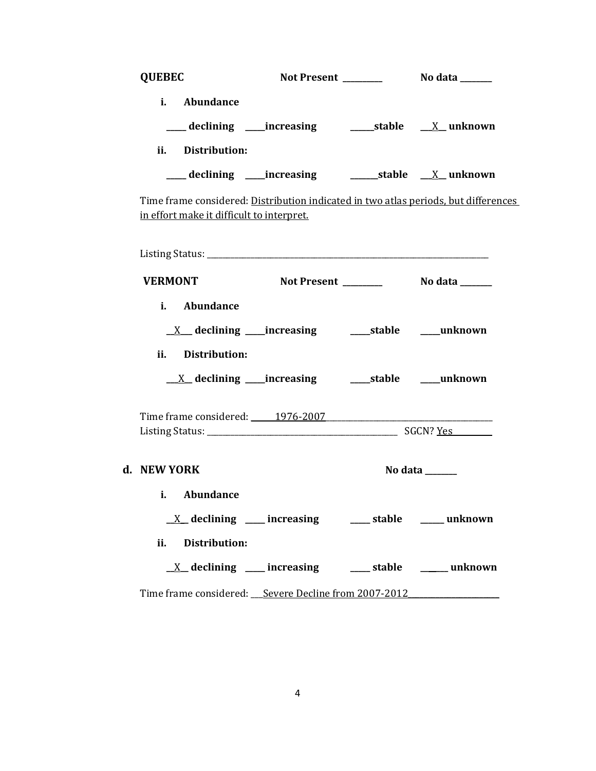| <b>QUEBEC</b>                                                                                                                    |                                                                      |         |
|----------------------------------------------------------------------------------------------------------------------------------|----------------------------------------------------------------------|---------|
| i. Abundance<br>ii. Distribution:                                                                                                |                                                                      |         |
|                                                                                                                                  |                                                                      |         |
| Time frame considered: Distribution indicated in two atlas periods, but differences<br>in effort make it difficult to interpret. |                                                                      |         |
|                                                                                                                                  |                                                                      |         |
| <b>VERMONT</b>                                                                                                                   | <b>Not Present __________ No data ______</b>                         |         |
| i. Abundance                                                                                                                     |                                                                      |         |
|                                                                                                                                  |                                                                      |         |
| ii. Distribution:                                                                                                                |                                                                      |         |
|                                                                                                                                  |                                                                      |         |
|                                                                                                                                  |                                                                      |         |
| d. NEW YORK                                                                                                                      |                                                                      | No data |
| i. Abundance                                                                                                                     |                                                                      |         |
|                                                                                                                                  | $\underline{X}$ declining ____ increasing _____ stable _____ unknown |         |
| ii. Distribution:                                                                                                                |                                                                      |         |
|                                                                                                                                  | $\underline{X}$ declining ___ increasing ___ stable ___ unknown      |         |
| Time frame considered: Severe Decline from 2007-2012                                                                             |                                                                      |         |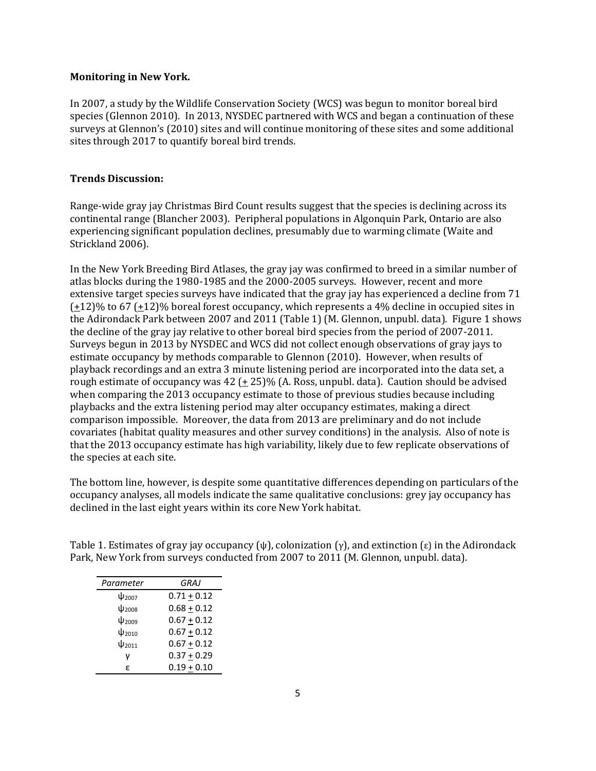#### **Monitoring in New York.**

In 2007, a study by the Wildlife Conservation Society (WCS) was begun to monitor boreal bird species (Glennon 2010). In 2013, NYSDEC partnered with WCS and began a continuation of these surveys at Glennon's (2010) sites and will continue monitoring of these sites and some additional sites through 2017 to quantify boreal bird trends.

#### **Trends Discussion:**

Range-wide gray jay Christmas Bird Count results suggest that the species is declining across its continental range (Blancher 2003). Peripheral populations in Algonquin Park, Ontario are also experiencing significant population declines, presumably due to warming climate (Waite and Strickland 2006).

In the New York Breeding Bird Atlases, the gray jay was confirmed to breed in a similar number of atlas blocks during the 1980-1985 and the 2000-2005 surveys. However, recent and more extensive target species surveys have indicated that the gray jay has experienced a decline from 71  $(\pm 12)\%$  to 67 ( $\pm 12\%$ ) boreal forest occupancy, which represents a 4% decline in occupied sites in the Adirondack Park between 2007 and 2011 (Table 1) (M. Glennon, unpubl. data). Figure 1 shows the decline of the gray jay relative to other boreal bird species from the period of 2007-2011. Surveys begun in 2013 by NYSDEC and WCS did not collect enough observations of gray jays to estimate occupancy by methods comparable to Glennon (2010). However, when results of playback recordings and an extra 3 minute listening period are incorporated into the data set, a rough estimate of occupancy was  $42 (+25)\%$  (A. Ross, unpubl. data). Caution should be advised when comparing the 2013 occupancy estimate to those of previous studies because including playbacks and the extra listening period may alter occupancy estimates, making a direct comparison impossible. Moreover, the data from 2013 are preliminary and do not include covariates (habitat quality measures and other survey conditions) in the analysis. Also of note is that the 2013 occupancy estimate has high variability, likely due to few replicate observations of the species at each site.

The bottom line, however, is despite some quantitative differences depending on particulars of the occupancy analyses, all models indicate the same qualitative conclusions: grey jay occupancy has declined in the last eight years within its core New York habitat.

Table 1. Estimates of gray jay occupancy (ψ), colonization (γ), and extinction (ε) in the Adirondack Park, New York from surveys conducted from 2007 to 2011 (M. Glennon, unpubl. data).

| Parameter              | GRAJ          |
|------------------------|---------------|
| ψ <sub>2007</sub>      | $0.71 + 0.12$ |
| $\Psi_{2008}$          | $0.68 + 0.12$ |
| $\Psi$ <sub>2009</sub> | $0.67 + 0.12$ |
| $\Psi_{2010}$          | $0.67 + 0.12$ |
| $\Psi_{2011}$          | $0.67 + 0.12$ |
| ν                      | $0.37 + 0.29$ |
| £.                     | $0.19 + 0.10$ |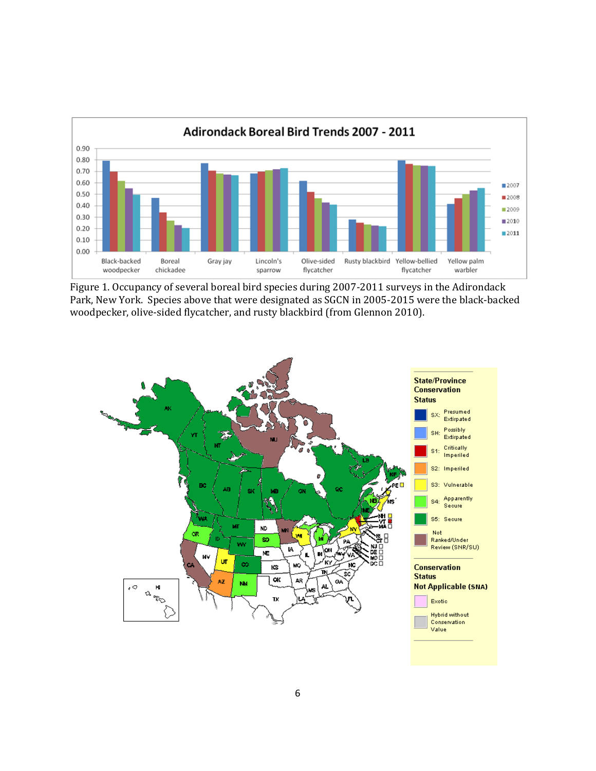

Figure 1. Occupancy of several boreal bird species during 2007-2011 surveys in the Adirondack Park, New York. Species above that were designated as SGCN in 2005-2015 were the black-backed woodpecker, olive-sided flycatcher, and rusty blackbird (from Glennon 2010).

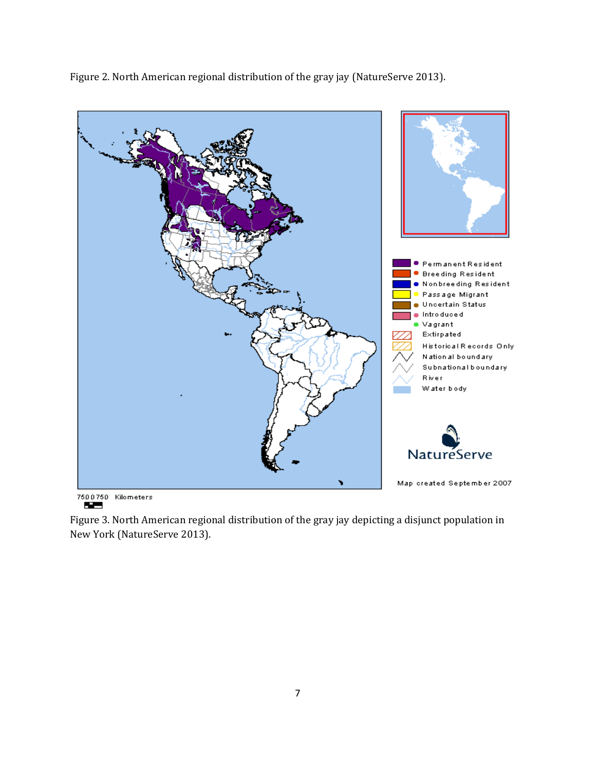Figure 2. North American regional distribution of the gray jay (NatureServe 2013).



7500750 Kilometers

Figure 3. North American regional distribution of the gray jay depicting a disjunct population in New York (NatureServe 2013).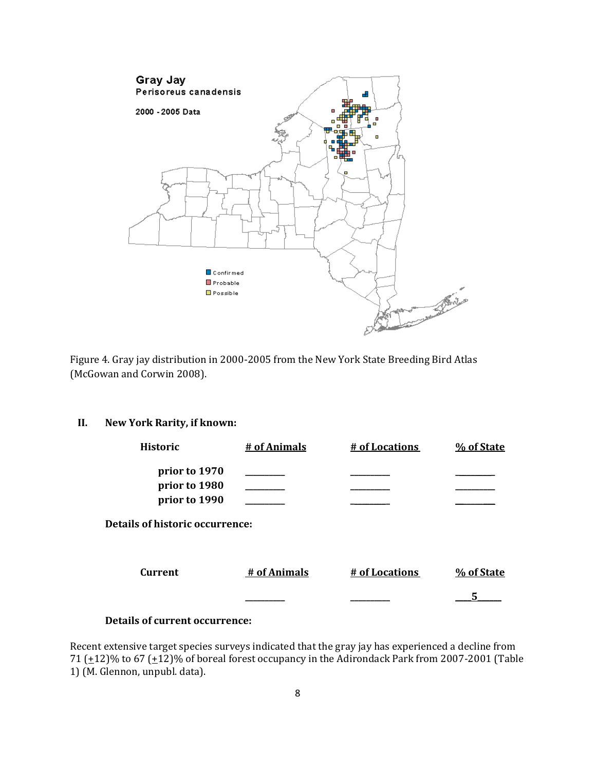

Figure 4. Gray jay distribution in 2000-2005 from the New York State Breeding Bird Atlas (McGowan and Corwin 2008).

## **II. New York Rarity, if known:**

| <b>Historic</b>                  | # of Animals | # of Locations | % of State |
|----------------------------------|--------------|----------------|------------|
| prior to 1970                    |              |                |            |
| prior to 1980                    |              |                |            |
| prior to 1990                    |              |                |            |
| Details of historic occurrence:  |              |                |            |
| <b>Current</b>                   | # of Animals | # of Locations | % of State |
|                                  |              |                |            |
| ____<br>$\overline{\phantom{a}}$ |              |                |            |

## **Details of current occurrence:**

Recent extensive target species surveys indicated that the gray jay has experienced a decline from 71  $(\pm 12)$ % to 67  $(\pm 12)$ % of boreal forest occupancy in the Adirondack Park from 2007-2001 (Table 1) (M. Glennon, unpubl. data).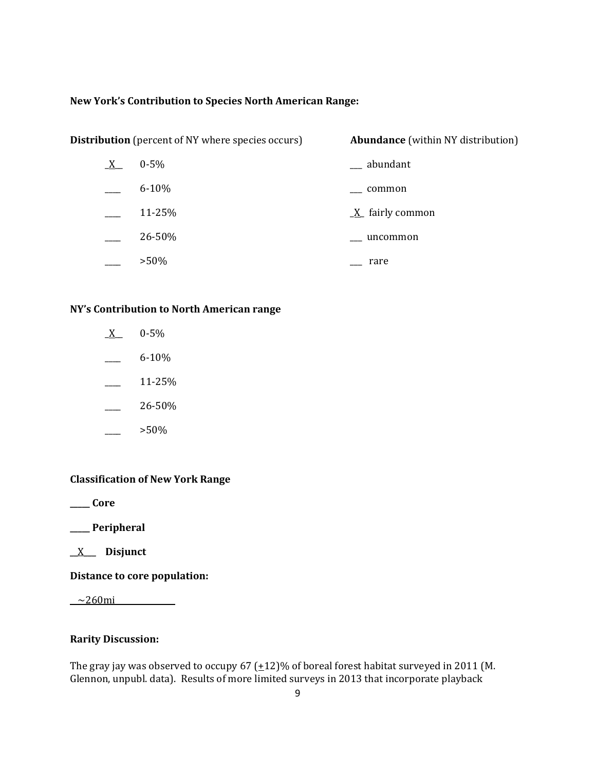#### **New York's Contribution to Species North American Range:**

| <b>Distribution</b> (percent of NY where species occurs) |           | <b>Abundance</b> (within NY distribution) |
|----------------------------------------------------------|-----------|-------------------------------------------|
| $X_{-}$                                                  | $0 - 5\%$ | abundant                                  |
|                                                          | $6 - 10%$ | common                                    |
|                                                          | 11-25%    | $X$ fairly common                         |
|                                                          | 26-50%    | uncommon                                  |
|                                                          | $>50\%$   | rare                                      |

#### **NY's Contribution to North American range**

- $X$  0-5%  $-$  6-10%
- 
- $\frac{11-25}{6}$
- $\frac{26-50\%}{26}$
- \_\_\_\_ >50%

## **Classification of New York Range**

**\_\_\_\_\_ Core**

**\_\_\_\_\_ Peripheral**

\_\_X\_\_\_ **Disjunct**

**Distance to core population:**

 $\sim$ 260mi $\sim$ 

## **Rarity Discussion:**

The gray jay was observed to occupy 67  $(\pm 12)$ % of boreal forest habitat surveyed in 2011 (M. Glennon, unpubl. data). Results of more limited surveys in 2013 that incorporate playback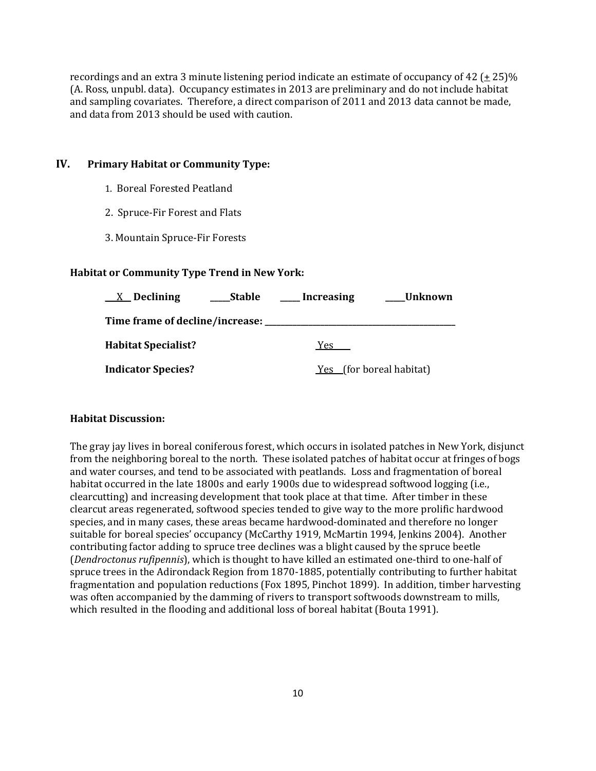recordings and an extra 3 minute listening period indicate an estimate of occupancy of 42 ( $\pm$  25)% (A. Ross, unpubl. data). Occupancy estimates in 2013 are preliminary and do not include habitat and sampling covariates. Therefore, a direct comparison of 2011 and 2013 data cannot be made, and data from 2013 should be used with caution.

#### **IV. Primary Habitat or Community Type:**

- 1. Boreal Forested Peatland
- 2. Spruce-Fir Forest and Flats
- 3. Mountain Spruce-Fir Forests

#### **Habitat or Community Type Trend in New York:**

| $X$ Declining                   | Stable | Increasing | Unknown                         |
|---------------------------------|--------|------------|---------------------------------|
| Time frame of decline/increase: |        |            |                                 |
| <b>Habitat Specialist?</b>      |        | Yes.       |                                 |
| <b>Indicator Species?</b>       |        |            | <u>Yes</u> (for boreal habitat) |

#### **Habitat Discussion:**

The gray jay lives in boreal coniferous forest, which occurs in isolated patches in New York, disjunct from the neighboring boreal to the north. These isolated patches of habitat occur at fringes of bogs and water courses, and tend to be associated with peatlands. Loss and fragmentation of boreal habitat occurred in the late 1800s and early 1900s due to widespread softwood logging (i.e., clearcutting) and increasing development that took place at that time. After timber in these clearcut areas regenerated, softwood species tended to give way to the more prolific hardwood species, and in many cases, these areas became hardwood-dominated and therefore no longer suitable for boreal species' occupancy (McCarthy 1919, McMartin 1994, Jenkins 2004). Another contributing factor adding to spruce tree declines was a blight caused by the spruce beetle (*Dendroctonus rufipennis*), which is thought to have killed an estimated one‐third to one‐half of spruce trees in the Adirondack Region from 1870-1885, potentially contributing to further habitat fragmentation and population reductions (Fox 1895, Pinchot 1899). In addition, timber harvesting was often accompanied by the damming of rivers to transport softwoods downstream to mills, which resulted in the flooding and additional loss of boreal habitat (Bouta 1991).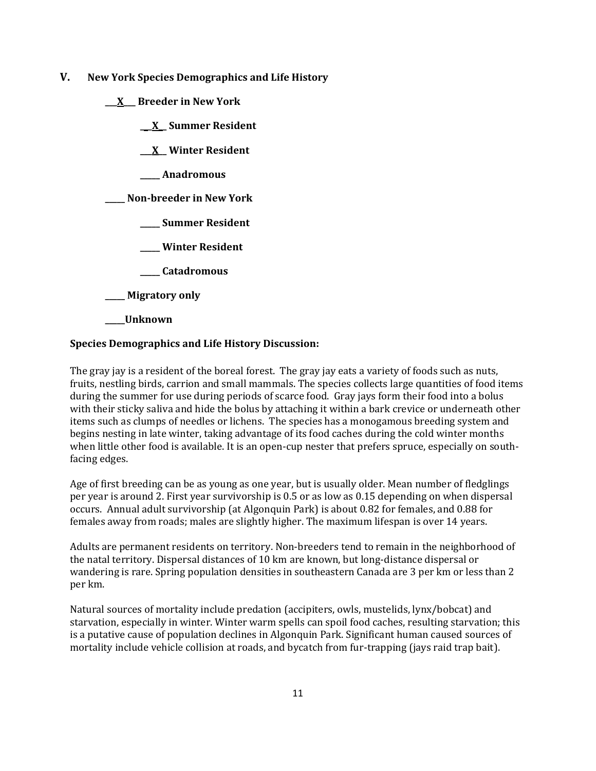- **V. New York Species Demographics and Life History**
	- **\_\_\_X\_\_\_ Breeder in New York**
		- **\_\_\_X\_\_ Summer Resident**
		- **\_\_\_X\_\_ Winter Resident**
		- **\_\_\_\_\_ Anadromous**

**\_\_\_\_\_ Non-breeder in New York**

- **\_\_\_\_\_ Summer Resident**
- **\_\_\_\_\_ Winter Resident**
- **\_\_\_\_\_ Catadromous**
- **\_\_\_\_\_ Migratory only**
- **\_\_\_\_\_Unknown**

#### **Species Demographics and Life History Discussion:**

The gray jay is a resident of the boreal forest. The gray jay eats a variety of foods such as nuts, fruits, nestling birds, carrion and small mammals. The species collects large quantities of food items during the summer for use during periods of scarce food. Gray jays form their food into a bolus with their sticky saliva and hide the bolus by attaching it within a bark crevice or underneath other items such as clumps of needles or lichens. The species has a monogamous breeding system and begins nesting in late winter, taking advantage of its food caches during the cold winter months when little other food is available. It is an open-cup nester that prefers spruce, especially on southfacing edges.

Age of first breeding can be as young as one year, but is usually older. Mean number of fledglings per year is around 2. First year survivorship is 0.5 or as low as 0.15 depending on when dispersal occurs. Annual adult survivorship (at Algonquin Park) is about 0.82 for females, and 0.88 for females away from roads; males are slightly higher. The maximum lifespan is over 14 years.

Adults are permanent residents on territory. Non-breeders tend to remain in the neighborhood of the natal territory. Dispersal distances of 10 km are known, but long-distance dispersal or wandering is rare. Spring population densities in southeastern Canada are 3 per km or less than 2 per km.

Natural sources of mortality include predation (accipiters, owls, mustelids, lynx/bobcat) and starvation, especially in winter. Winter warm spells can spoil food caches, resulting starvation; this is a putative cause of population declines in Algonquin Park. Significant human caused sources of mortality include vehicle collision at roads, and bycatch from fur-trapping (jays raid trap bait).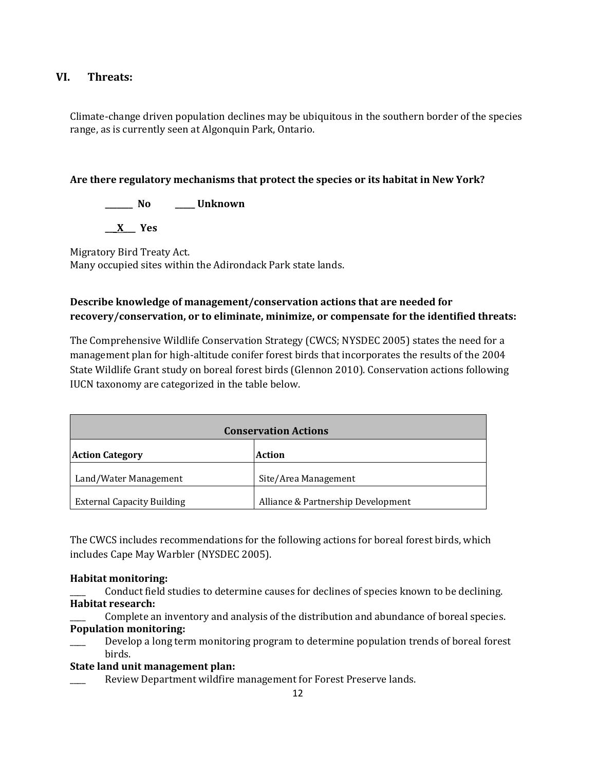## **VI. Threats:**

Climate-change driven population declines may be ubiquitous in the southern border of the species range, as is currently seen at Algonquin Park, Ontario.

## **Are there regulatory mechanisms that protect the species or its habitat in New York?**

**\_\_\_\_\_\_\_ No \_\_\_\_\_ Unknown**

**\_\_\_X\_\_\_ Yes** 

Migratory Bird Treaty Act. Many occupied sites within the Adirondack Park state lands.

# **Describe knowledge of management/conservation actions that are needed for recovery/conservation, or to eliminate, minimize, or compensate for the identified threats:**

The Comprehensive Wildlife Conservation Strategy (CWCS; NYSDEC 2005) states the need for a management plan for high-altitude conifer forest birds that incorporates the results of the 2004 State Wildlife Grant study on boreal forest birds (Glennon 2010). Conservation actions following IUCN taxonomy are categorized in the table below.

| <b>Conservation Actions</b>       |                                    |  |
|-----------------------------------|------------------------------------|--|
| <b>Action Category</b>            | Action                             |  |
| Land/Water Management             | Site/Area Management               |  |
| <b>External Capacity Building</b> | Alliance & Partnership Development |  |

The CWCS includes recommendations for the following actions for boreal forest birds, which includes Cape May Warbler (NYSDEC 2005).

## **Habitat monitoring:**

\_\_\_\_ Conduct field studies to determine causes for declines of species known to be declining. **Habitat research:**

Complete an inventory and analysis of the distribution and abundance of boreal species. **Population monitoring:**

Develop a long term monitoring program to determine population trends of boreal forest birds.

## **State land unit management plan:**

Review Department wildfire management for Forest Preserve lands.